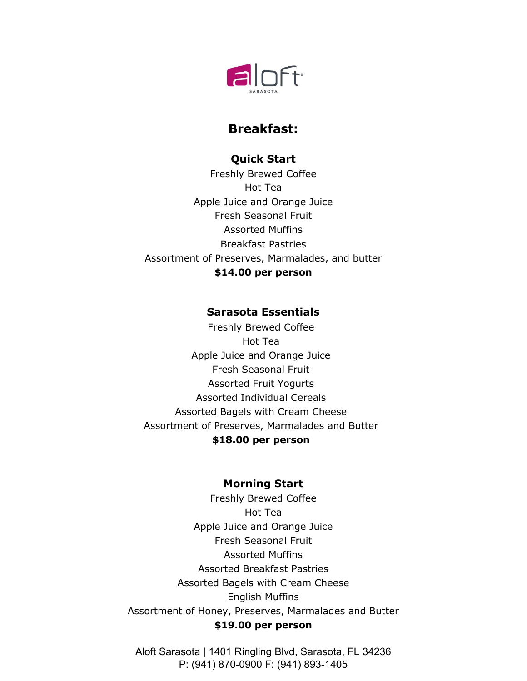

# **Breakfast:**

# **Quick Start**

Freshly Brewed Coffee Hot Tea Apple Juice and Orange Juice Fresh Seasonal Fruit Assorted Muffins Breakfast Pastries Assortment of Preserves, Marmalades, and butter **\$14.00 per person** 

## **Sarasota Essentials**

Freshly Brewed Coffee Hot Tea Apple Juice and Orange Juice Fresh Seasonal Fruit Assorted Fruit Yogurts Assorted Individual Cereals Assorted Bagels with Cream Cheese Assortment of Preserves, Marmalades and Butter **\$18.00 per person**

## **Morning Start**

Freshly Brewed Coffee Hot Tea Apple Juice and Orange Juice Fresh Seasonal Fruit Assorted Muffins Assorted Breakfast Pastries Assorted Bagels with Cream Cheese English Muffins Assortment of Honey, Preserves, Marmalades and Butter **\$19.00 per person**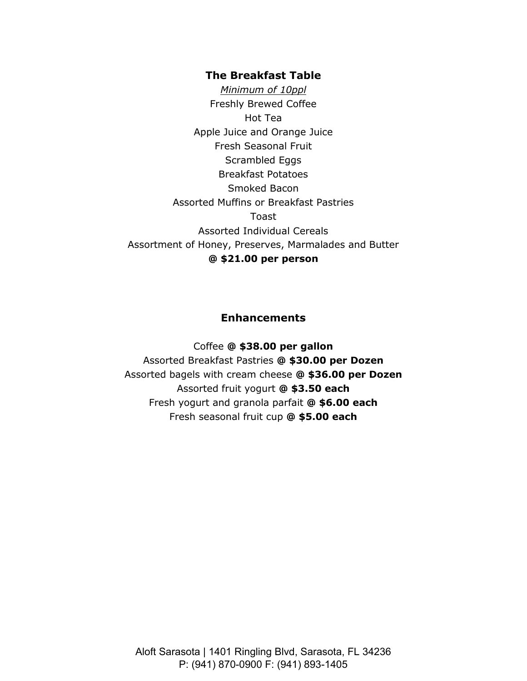### **The Breakfast Table**

*Minimum of 10ppl* Freshly Brewed Coffee Hot Tea Apple Juice and Orange Juice Fresh Seasonal Fruit Scrambled Eggs Breakfast Potatoes Smoked Bacon Assorted Muffins or Breakfast Pastries Toast Assorted Individual Cereals Assortment of Honey, Preserves, Marmalades and Butter **@ \$21.00 per person** 

## **Enhancements**

Coffee **@ \$38.00 per gallon** Assorted Breakfast Pastries **@ \$30.00 per Dozen** Assorted bagels with cream cheese **@ \$36.00 per Dozen** Assorted fruit yogurt **@ \$3.50 each** Fresh yogurt and granola parfait **@ \$6.00 each** Fresh seasonal fruit cup **@ \$5.00 each**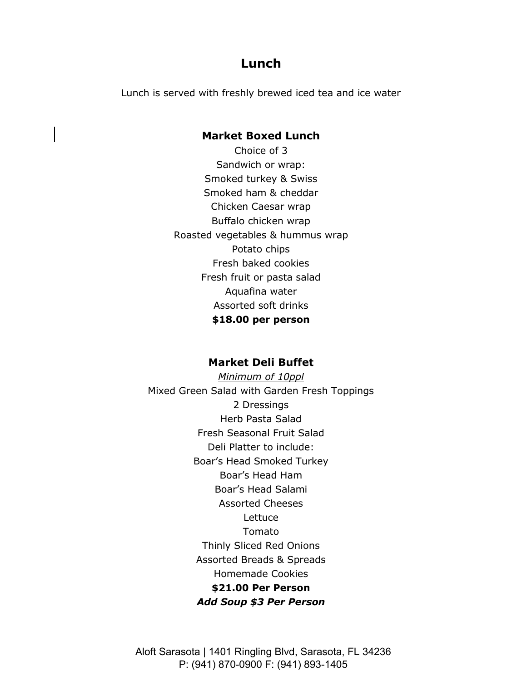# **Lunch**

Lunch is served with freshly brewed iced tea and ice water

### **Market Boxed Lunch**

Choice of 3 Sandwich or wrap: Smoked turkey & Swiss Smoked ham & cheddar Chicken Caesar wrap Buffalo chicken wrap Roasted vegetables & hummus wrap Potato chips Fresh baked cookies Fresh fruit or pasta salad Aquafina water Assorted soft drinks **\$18.00 per person** 

### **Market Deli Buffet**

*Minimum of 10ppl*  Mixed Green Salad with Garden Fresh Toppings 2 Dressings Herb Pasta Salad Fresh Seasonal Fruit Salad Deli Platter to include: Boar's Head Smoked Turkey Boar's Head Ham Boar's Head Salami Assorted Cheeses **Lettuce** Tomato Thinly Sliced Red Onions Assorted Breads & Spreads Homemade Cookies **\$21.00 Per Person**  *Add Soup \$3 Per Person*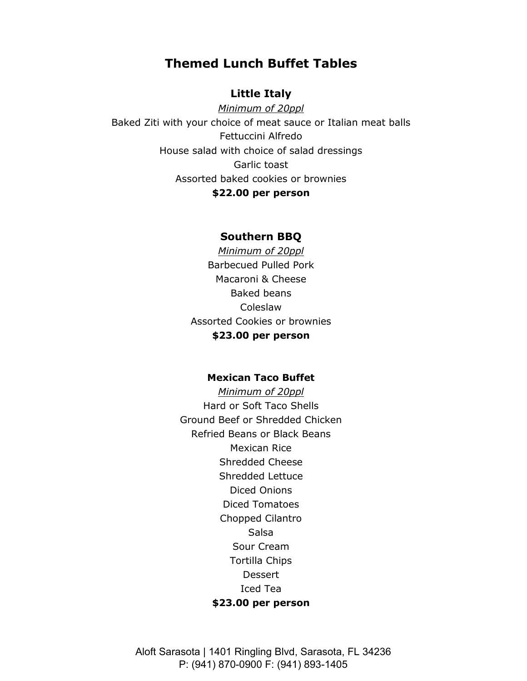# **Themed Lunch Buffet Tables**

## **Little Italy**

*Minimum of 20ppl*  Baked Ziti with your choice of meat sauce or Italian meat balls Fettuccini Alfredo House salad with choice of salad dressings Garlic toast Assorted baked cookies or brownies **\$22.00 per person** 

### **Southern BBQ**

*Minimum of 20ppl*  Barbecued Pulled Pork Macaroni & Cheese Baked beans Coleslaw Assorted Cookies or brownies **\$23.00 per person** 

### **Mexican Taco Buffet**

*Minimum of 20ppl*  Hard or Soft Taco Shells Ground Beef or Shredded Chicken Refried Beans or Black Beans Mexican Rice Shredded Cheese Shredded Lettuce Diced Onions Diced Tomatoes Chopped Cilantro Salsa Sour Cream Tortilla Chips **Dessert** Iced Tea **\$23.00 per person**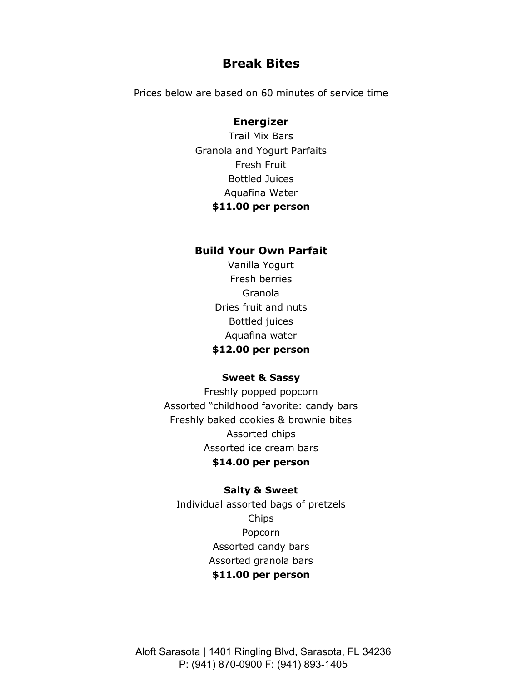## **Break Bites**

Prices below are based on 60 minutes of service time

### **Energizer**

Trail Mix Bars Granola and Yogurt Parfaits Fresh Fruit Bottled Juices Aquafina Water **\$11.00 per person** 

### **Build Your Own Parfait**

Vanilla Yogurt Fresh berries Granola Dries fruit and nuts Bottled juices Aquafina water **\$12.00 per person** 

#### **Sweet & Sassy**

Freshly popped popcorn Assorted "childhood favorite: candy bars Freshly baked cookies & brownie bites Assorted chips Assorted ice cream bars **\$14.00 per person** 

#### **Salty & Sweet**

Individual assorted bags of pretzels Chips Popcorn Assorted candy bars Assorted granola bars **\$11.00 per person**